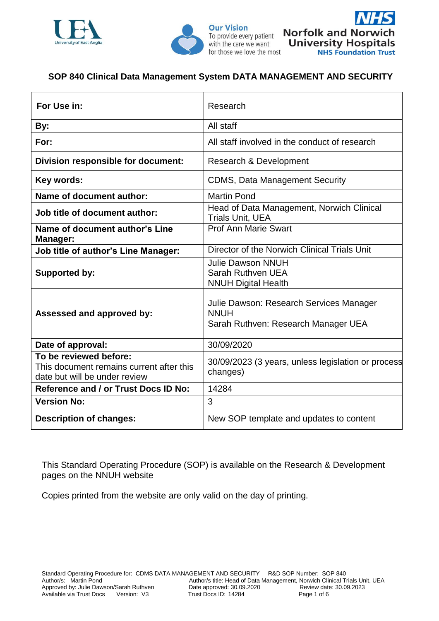





## **SOP 840 Clinical Data Management System DATA MANAGEMENT AND SECURITY**

| For Use in:                                                                                         | Research                                                                                      |  |
|-----------------------------------------------------------------------------------------------------|-----------------------------------------------------------------------------------------------|--|
| By:                                                                                                 | All staff                                                                                     |  |
| For:                                                                                                | All staff involved in the conduct of research                                                 |  |
| Division responsible for document:                                                                  | Research & Development                                                                        |  |
| Key words:                                                                                          | <b>CDMS, Data Management Security</b>                                                         |  |
| Name of document author:                                                                            | <b>Martin Pond</b>                                                                            |  |
| Job title of document author:                                                                       | Head of Data Management, Norwich Clinical<br><b>Trials Unit, UEA</b>                          |  |
| Name of document author's Line<br><b>Manager:</b>                                                   | <b>Prof Ann Marie Swart</b>                                                                   |  |
| <b>Job title of author's Line Manager:</b>                                                          | Director of the Norwich Clinical Trials Unit                                                  |  |
| <b>Supported by:</b>                                                                                | <b>Julie Dawson NNUH</b><br>Sarah Ruthven UEA<br><b>NNUH Digital Health</b>                   |  |
| Assessed and approved by:                                                                           | Julie Dawson: Research Services Manager<br><b>NNUH</b><br>Sarah Ruthven: Research Manager UEA |  |
| Date of approval:                                                                                   | 30/09/2020                                                                                    |  |
| To be reviewed before:<br>This document remains current after this<br>date but will be under review | 30/09/2023 (3 years, unless legislation or process<br>changes)                                |  |
| Reference and / or Trust Docs ID No:                                                                | 14284                                                                                         |  |
| <b>Version No:</b>                                                                                  | 3                                                                                             |  |
| <b>Description of changes:</b>                                                                      | New SOP template and updates to content                                                       |  |

This Standard Operating Procedure (SOP) is available on the Research & Development pages on the NNUH website

Copies printed from the website are only valid on the day of printing.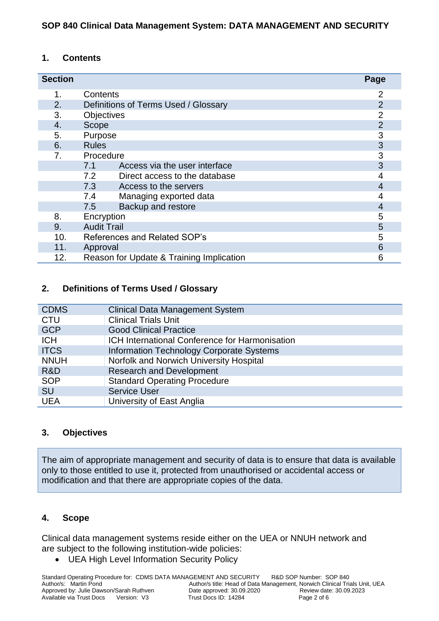## **1. Contents**

| <b>Section</b> |                                                        |                                          | Page           |
|----------------|--------------------------------------------------------|------------------------------------------|----------------|
| 1.             | Contents                                               |                                          | 2              |
| 2.             | $\overline{2}$<br>Definitions of Terms Used / Glossary |                                          |                |
| 3.             | $\overline{2}$<br>Objectives                           |                                          |                |
| 4.             | $\overline{2}$<br>Scope                                |                                          |                |
| 5.             | Purpose                                                |                                          | 3              |
| 6.             | 3<br><b>Rules</b>                                      |                                          |                |
| 7.             | Procedure                                              |                                          | 3              |
|                | 7.1                                                    | Access via the user interface            | 3              |
|                | 7.2                                                    | Direct access to the database            | 4              |
|                | 7.3                                                    | Access to the servers                    | $\overline{4}$ |
|                | 7.4                                                    | Managing exported data                   | 4              |
|                | 7.5                                                    | Backup and restore                       | $\overline{4}$ |
| 8.             | Encryption                                             |                                          | 5              |
| 9.             | <b>Audit Trail</b><br>5                                |                                          |                |
| 10.            | 5<br>References and Related SOP's                      |                                          |                |
| 11.            | 6<br>Approval                                          |                                          |                |
| 12.            |                                                        | Reason for Update & Training Implication | 6              |

## **2. Definitions of Terms Used / Glossary**

| <b>CDMS</b> | <b>Clinical Data Management System</b>                |
|-------------|-------------------------------------------------------|
| <b>CTU</b>  | <b>Clinical Trials Unit</b>                           |
| <b>GCP</b>  | <b>Good Clinical Practice</b>                         |
| <b>ICH</b>  | <b>ICH International Conference for Harmonisation</b> |
| <b>ITCS</b> | <b>Information Technology Corporate Systems</b>       |
| <b>NNUH</b> | Norfolk and Norwich University Hospital               |
| R&D         | <b>Research and Development</b>                       |
| <b>SOP</b>  | <b>Standard Operating Procedure</b>                   |
| <b>SU</b>   | <b>Service User</b>                                   |
| <b>UEA</b>  | University of East Anglia                             |

## **3. Objectives**

The aim of appropriate management and security of data is to ensure that data is available only to those entitled to use it, protected from unauthorised or accidental access or modification and that there are appropriate copies of the data.

### **4. Scope**

Clinical data management systems reside either on the UEA or NNUH network and are subject to the following institution-wide policies:

UEA High Level Information Security Policy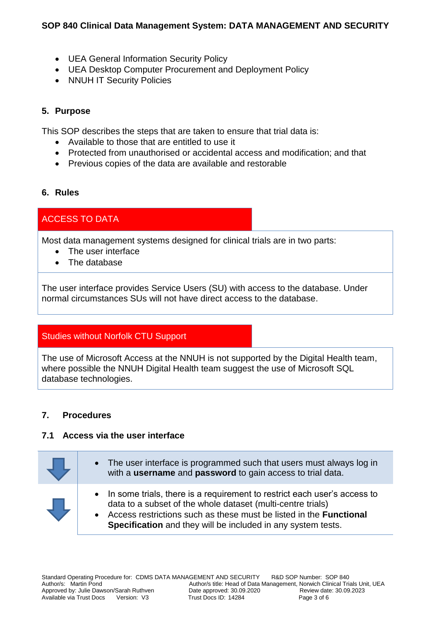## **SOP 840 Clinical Data Management System: DATA MANAGEMENT AND SECURITY**

- UEA General Information Security Policy
- UEA Desktop Computer Procurement and Deployment Policy
- NNUH IT Security Policies

## **5. Purpose**

This SOP describes the steps that are taken to ensure that trial data is:

- Available to those that are entitled to use it
- Protected from unauthorised or accidental access and modification; and that
- Previous copies of the data are available and restorable

### **6. Rules**

# ACCESS TO DATA

Most data management systems designed for clinical trials are in two parts:

- The user interface
- The database

The user interface provides Service Users (SU) with access to the database. Under normal circumstances SUs will not have direct access to the database.

## Studies without Norfolk CTU Support

The use of Microsoft Access at the NNUH is not supported by the Digital Health team, where possible the NNUH Digital Health team suggest the use of Microsoft SQL database technologies.

## **7. Procedures**

### **7.1 Access via the user interface**

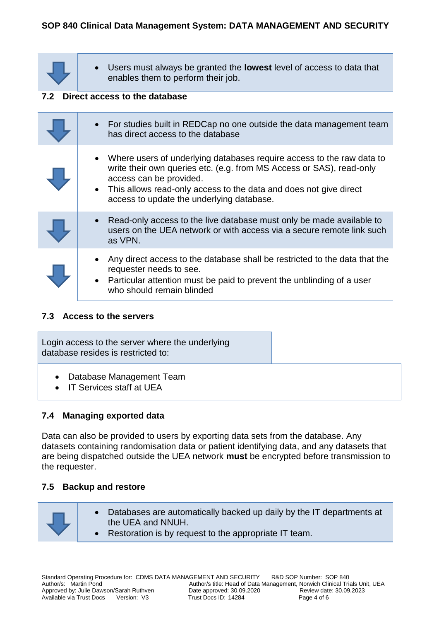# **SOP 840 Clinical Data Management System: DATA MANAGEMENT AND SECURITY**

 Users must always be granted the **lowest** level of access to data that enables them to perform their job.

#### **7.2 Direct access to the database**

| For studies built in REDCap no one outside the data management team<br>has direct access to the database                                                                                                                                                                                       |
|------------------------------------------------------------------------------------------------------------------------------------------------------------------------------------------------------------------------------------------------------------------------------------------------|
| • Where users of underlying databases require access to the raw data to<br>write their own queries etc. (e.g. from MS Access or SAS), read-only<br>access can be provided.<br>• This allows read-only access to the data and does not give direct<br>access to update the underlying database. |
| Read-only access to the live database must only be made available to<br>users on the UEA network or with access via a secure remote link such<br>as VPN.                                                                                                                                       |
| Any direct access to the database shall be restricted to the data that the<br>requester needs to see.<br>Particular attention must be paid to prevent the unblinding of a user<br>$\bullet$<br>who should remain blinded                                                                       |

### **7.3 Access to the servers**

Login access to the server where the underlying database resides is restricted to: Database Management Team

• IT Services staff at UFA

### **7.4 Managing exported data**

Data can also be provided to users by exporting data sets from the database. Any datasets containing randomisation data or patient identifying data, and any datasets that are being dispatched outside the UEA network **must** be encrypted before transmission to the requester.

### **7.5 Backup and restore**

- Databases are automatically backed up daily by the IT departments at the UEA and NNUH.
	- Restoration is by request to the appropriate IT team.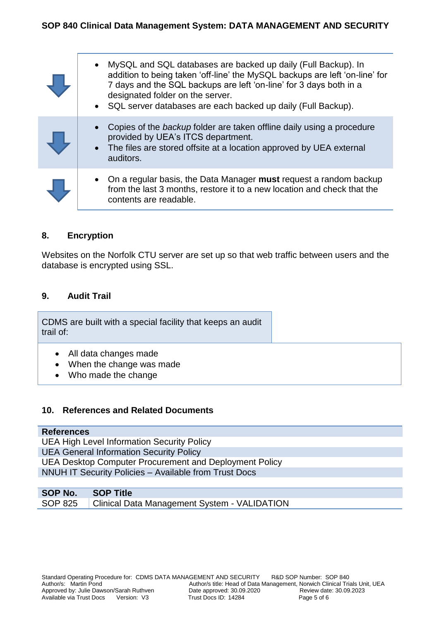| MySQL and SQL databases are backed up daily (Full Backup). In<br>addition to being taken 'off-line' the MySQL backups are left 'on-line' for<br>7 days and the SQL backups are left 'on-line' for 3 days both in a<br>designated folder on the server.<br>• SQL server databases are each backed up daily (Full Backup). |
|--------------------------------------------------------------------------------------------------------------------------------------------------------------------------------------------------------------------------------------------------------------------------------------------------------------------------|
| Copies of the backup folder are taken offline daily using a procedure<br>provided by UEA's ITCS department.<br>• The files are stored offsite at a location approved by UEA external<br>auditors.                                                                                                                        |
| On a regular basis, the Data Manager must request a random backup<br>from the last 3 months, restore it to a new location and check that the<br>contents are readable.                                                                                                                                                   |

### **8. Encryption**

Websites on the Norfolk CTU server are set up so that web traffic between users and the database is encrypted using SSL.

### **9. Audit Trail**

CDMS are built with a special facility that keeps an audit trail of:

- All data changes made
- When the change was made
- Who made the change

### **10. References and Related Documents**

#### **References**

UEA High Level Information Security Policy UEA General Information Security Policy UEA Desktop Computer Procurement and Deployment Policy NNUH IT Security Policies – Available from Trust Docs

| SOP No. SOP Title |                                                        |
|-------------------|--------------------------------------------------------|
|                   | SOP 825   Clinical Data Management System - VALIDATION |